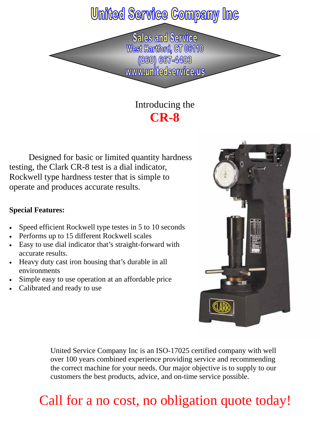### **United Service Company Inc**

**Sales and Service** West Hartford, CT 06110 (860) 667-4403 www.unitedservice.us

### Introducing the **CR-8**

 Designed for basic or limited quantity hardness testing, the Clark CR-8 test is a dial indicator, Rockwell type hardness tester that is simple to operate and produces accurate results.

#### **Special Features:**

- Speed efficient Rockwell type testes in 5 to 10 seconds
- Performs up to 15 different Rockwell scales
- Easy to use dial indicator that's straight-forward with accurate results.
- Heavy duty cast iron housing that's durable in all environments
- Simple easy to use operation at an affordable price
- Calibrated and ready to use



United Service Company Inc is an ISO-17025 certified company with well over 100 years combined experience providing service and recommending the correct machine for your needs. Our major objective is to supply to our customers the best products, advice, and on-time service possible.

## Call for a no cost, no obligation quote today!